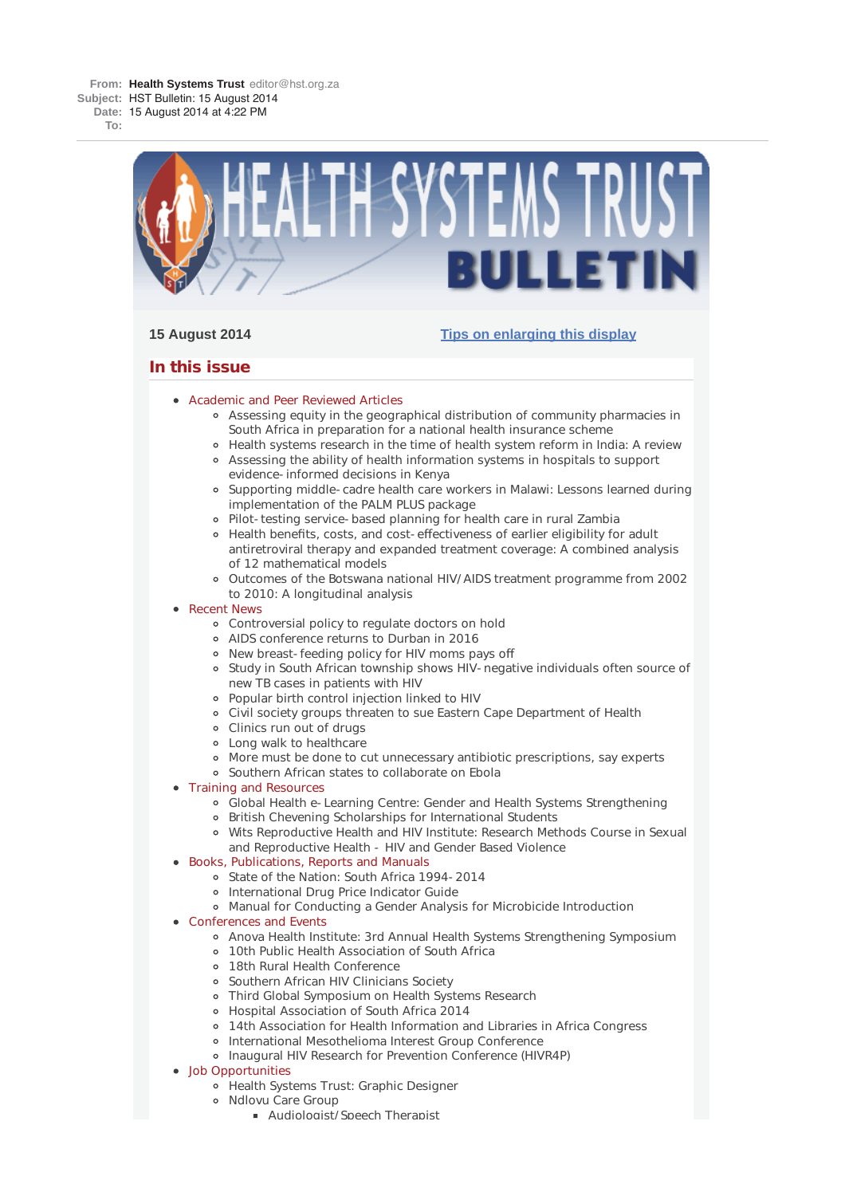**To:**



# **15 August 2014 Tips on enlarging this display**

# **In this issue**

- **Academic and Peer Reviewed Articles** 
	- Assessing equity in the geographical distribution of community pharmacies in South Africa in preparation for a national health insurance scheme
	- Health systems research in the time of health system reform in India: A review Assessing the ability of health information systems in hospitals to support
	- evidence-informed decisions in Kenya
	- Supporting middle-cadre health care workers in Malawi: Lessons learned during implementation of the PALM PLUS package
	- Pilot-testing service-based planning for health care in rural Zambia
	- Health benefits, costs, and cost-effectiveness of earlier eligibility for adult antiretroviral therapy and expanded treatment coverage: A combined analysis of 12 mathematical models
	- Outcomes of the Botswana national HIV/AIDS treatment programme from 2002 to 2010: A longitudinal analysis

# • Recent News

- Controversial policy to regulate doctors on hold
- AIDS conference returns to Durban in 2016
- New breast-feeding policy for HIV moms pays off
- o Study in South African township shows HIV-negative individuals often source of new TB cases in patients with HIV
- Popular birth control injection linked to HIV
- Civil society groups threaten to sue Eastern Cape Department of Health
- Clinics run out of drugs
- Long walk to healthcare
- More must be done to cut unnecessary antibiotic prescriptions, say experts
- Southern African states to collaborate on Ebola
- Training and Resources
	- Global Health e-Learning Centre: Gender and Health Systems Strengthening
	- British Chevening Scholarships for International Students
		- Wits Reproductive Health and HIV Institute: Research Methods Course in Sexual and Reproductive Health - HIV and Gender Based Violence
- Books, Publications, Reports and Manuals
	- o State of the Nation: South Africa 1994-2014
	- o International Drug Price Indicator Guide
	- Manual for Conducting a Gender Analysis for Microbicide Introduction
- Conferences and Events
	- Anova Health Institute: 3rd Annual Health Systems Strengthening Symposium
	- 10th Public Health Association of South Africa
	- 18th Rural Health Conference
	- Southern African HIV Clinicians Society
	- Third Global Symposium on Health Systems Research
	- Hospital Association of South Africa 2014
	- 14th Association for Health Information and Libraries in Africa Congress
	- International Mesothelioma Interest Group Conference
	- Inaugural HIV Research for Prevention Conference (HIVR4P)
- Job Opportunities
	- Health Systems Trust: Graphic Designer
	- o Ndlovu Care Group
		- **Audiologist/Speech Therapist**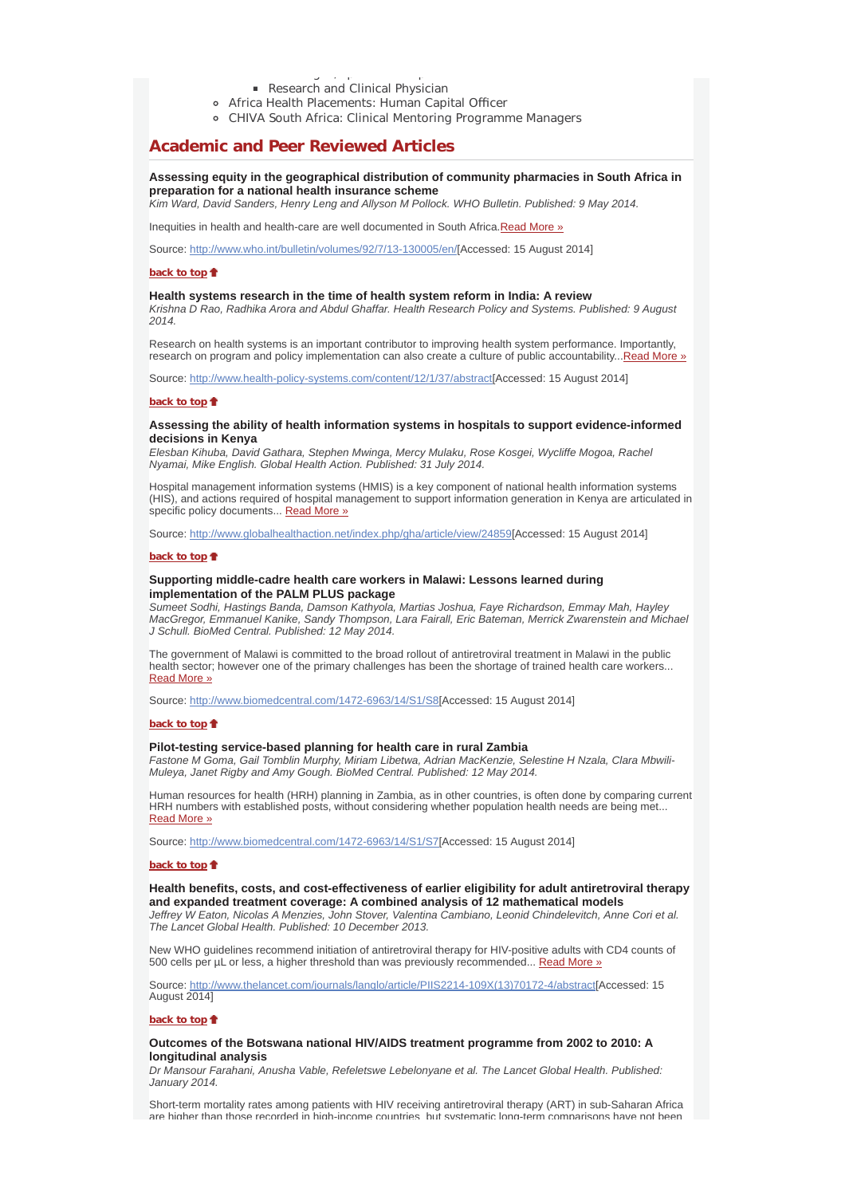- g /p p Research and Clinical Physician
- Africa Health Placements: Human Capital Officer
- CHIVA South Africa: Clinical Mentoring Programme Managers

# **Academic and Peer Reviewed Articles**

# **Assessing equity in the geographical distribution of community pharmacies in South Africa in preparation for a national health insurance scheme**

*Kim Ward, David Sanders, Henry Leng and Allyson M Pollock. WHO Bulletin. Published: 9 May 2014.*

Inequities in health and health-care are well documented in South Africa.Read More »

Source: http://www.who.int/bulletin/volumes/92/7/13-130005/en/[Accessed: 15 August 2014]

#### **back to top**

### **Health systems research in the time of health system reform in India: A review**

*Krishna D Rao, Radhika Arora and Abdul Ghaffar. Health Research Policy and Systems. Published: 9 August 2014.*

Research on health systems is an important contributor to improving health system performance. Importantly, research on program and policy implementation can also create a culture of public accountability...Read More »

Source: http://www.health-policy-systems.com/content/12/1/37/abstract[Accessed: 15 August 2014]

#### **back to top**

## **Assessing the ability of health information systems in hospitals to support evidence-informed decisions in Kenya**

*Elesban Kihuba, David Gathara, Stephen Mwinga, Mercy Mulaku, Rose Kosgei, Wycliffe Mogoa, Rachel Nyamai, Mike English. Global Health Action. Published: 31 July 2014.*

Hospital management information systems (HMIS) is a key component of national health information systems (HIS), and actions required of hospital management to support information generation in Kenya are articulated in specific policy documents... Read More »

Source: http://www.globalhealthaction.net/index.php/gha/article/view/24859[Accessed: 15 August 2014]

#### **back to top**

## **Supporting middle-cadre health care workers in Malawi: Lessons learned during implementation of the PALM PLUS package**

*Sumeet Sodhi, Hastings Banda, Damson Kathyola, Martias Joshua, Faye Richardson, Emmay Mah, Hayley MacGregor, Emmanuel Kanike, Sandy Thompson, Lara Fairall, Eric Bateman, Merrick Zwarenstein and Michael J Schull. BioMed Central. Published: 12 May 2014.*

The government of Malawi is committed to the broad rollout of antiretroviral treatment in Malawi in the public health sector; however one of the primary challenges has been the shortage of trained health care workers... Read More »

Source: http://www.biomedcentral.com/1472-6963/14/S1/S8[Accessed: 15 August 2014]

#### **back to top**

### **Pilot-testing service-based planning for health care in rural Zambia**

*Fastone M Goma, Gail Tomblin Murphy, Miriam Libetwa, Adrian MacKenzie, Selestine H Nzala, Clara Mbwili-Muleya, Janet Rigby and Amy Gough. BioMed Central. Published: 12 May 2014.*

Human resources for health (HRH) planning in Zambia, as in other countries, is often done by comparing current HRH numbers with established posts, without considering whether population health needs are being met... Read More »

Source: http://www.biomedcentral.com/1472-6963/14/S1/S7[Accessed: 15 August 2014]

#### **back to top**

### **Health benefits, costs, and cost-effectiveness of earlier eligibility for adult antiretroviral therapy and expanded treatment coverage: A combined analysis of 12 mathematical models**

*Jeffrey W Eaton, Nicolas A Menzies, John Stover, Valentina Cambiano, Leonid Chindelevitch, Anne Cori et al. The Lancet Global Health. Published: 10 December 2013.*

New WHO guidelines recommend initiation of antiretroviral therapy for HIV-positive adults with CD4 counts of 500 cells per µL or less, a higher threshold than was previously recommended... Read More »

Source: http://www.thelancet.com/journals/langlo/article/PIIS2214-109X(13)70172-4/abstract[Accessed: 15 August 2014]

### **back to top**

### **Outcomes of the Botswana national HIV/AIDS treatment programme from 2002 to 2010: A longitudinal analysis**

*Dr Mansour Farahani, Anusha Vable, Refeletswe Lebelonyane et al. The Lancet Global Health. Published: January 2014.*

Short-term mortality rates among patients with HIV receiving antiretroviral therapy (ART) in sub-Saharan Africa are higher than those recorded in high-income countries but systematic long-term comparisons have not been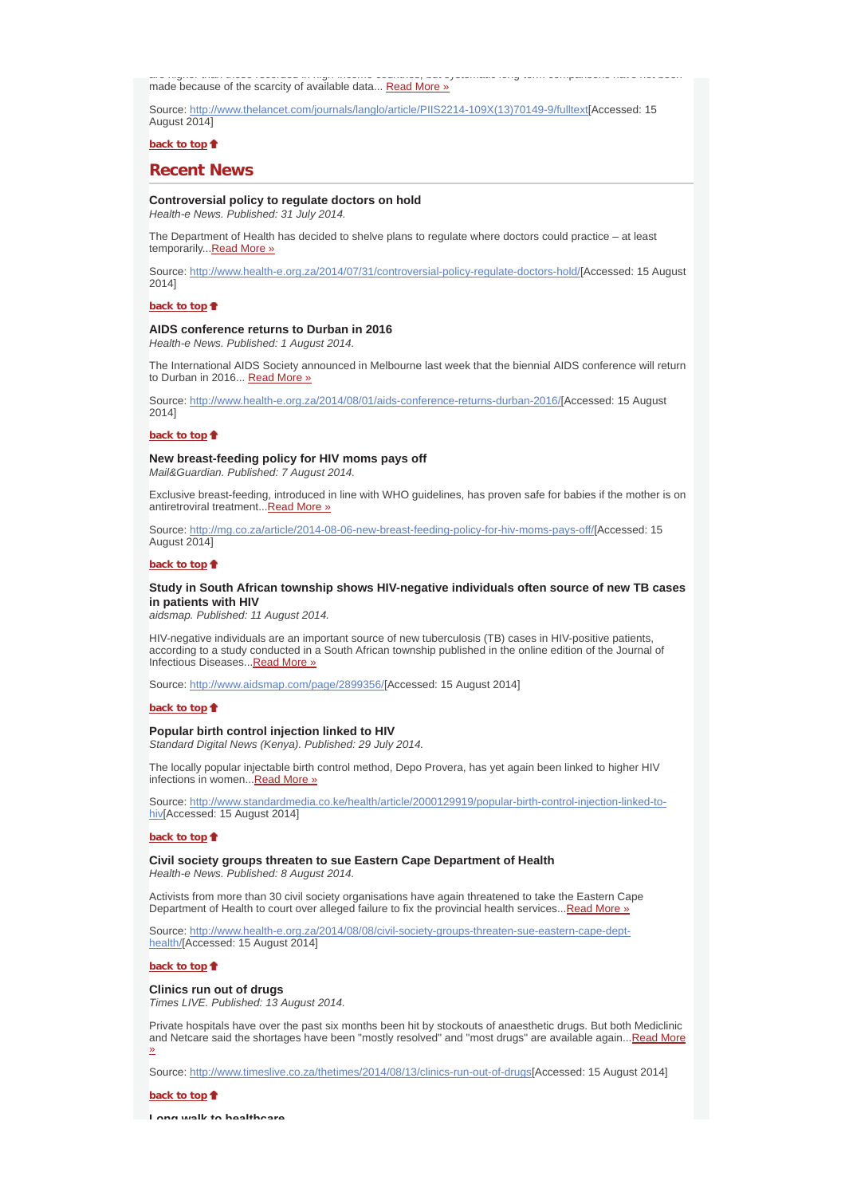are higher than those recorded in high income countries, but systematic long term comparisons have not been made because of the scarcity of available data... Read More »

Source: http://www.thelancet.com/journals/langlo/article/PIIS2214-109X(13)70149-9/fulltext[Accessed: 15 August 2014]

**back to top**

## **Recent News**

# **Controversial policy to regulate doctors on hold**

*Health-e News. Published: 31 July 2014.*

The Department of Health has decided to shelve plans to regulate where doctors could practice – at least temporarily...Read More »

Source: http://www.health-e.org.za/2014/07/31/controversial-policy-regulate-doctors-hold/[Accessed: 15 August 2014]

## **back to top**

## **AIDS conference returns to Durban in 2016**

*Health-e News. Published: 1 August 2014.*

The International AIDS Society announced in Melbourne last week that the biennial AIDS conference will return to Durban in 2016... Read More »

Source: http://www.health-e.org.za/2014/08/01/aids-conference-returns-durban-2016/[Accessed: 15 August 2014]

## **back to top**

# **New breast-feeding policy for HIV moms pays off**

*Mail&Guardian. Published: 7 August 2014.*

Exclusive breast-feeding, introduced in line with WHO guidelines, has proven safe for babies if the mother is on antiretroviral treatment...Read More »

Source: http://mg.co.za/article/2014-08-06-new-breast-feeding-policy-for-hiv-moms-pays-off/[Accessed: 15 August 2014]

### **back to top**

### **Study in South African township shows HIV-negative individuals often source of new TB cases in patients with HIV**

*aidsmap. Published: 11 August 2014.*

HIV-negative individuals are an important source of new tuberculosis (TB) cases in HIV-positive patients, according to a study conducted in a South African township published in the online edition of the Journal of Infectious Diseases...Read More »

Source: http://www.aidsmap.com/page/2899356/[Accessed: 15 August 2014]

#### **back to top**

#### **Popular birth control injection linked to HIV**

*Standard Digital News (Kenya). Published: 29 July 2014.*

The locally popular injectable birth control method, Depo Provera, has yet again been linked to higher HIV infections in women...Read More »

Source: http://www.standardmedia.co.ke/health/article/2000129919/popular-birth-control-injection-linked-tohiv[Accessed: 15 August 2014]

## **back to top**

## **Civil society groups threaten to sue Eastern Cape Department of Health**

*Health-e News. Published: 8 August 2014.*

Activists from more than 30 civil society organisations have again threatened to take the Eastern Cape Department of Health to court over alleged failure to fix the provincial health services... Read More »

Source: http://www.health-e.org.za/2014/08/08/civil-society-groups-threaten-sue-eastern-cape-depthealth/[Accessed: 15 August 2014]

**back to top**

#### **Clinics run out of drugs**

*Times LIVE. Published: 13 August 2014.*

Private hospitals have over the past six months been hit by stockouts of anaesthetic drugs. But both Mediclinic and Netcare said the shortages have been "mostly resolved" and "most drugs" are available again...Read More »

Source: http://www.timeslive.co.za/thetimes/2014/08/13/clinics-run-out-of-drugs[Accessed: 15 August 2014]

**back to top**

**Long walk to healthcare**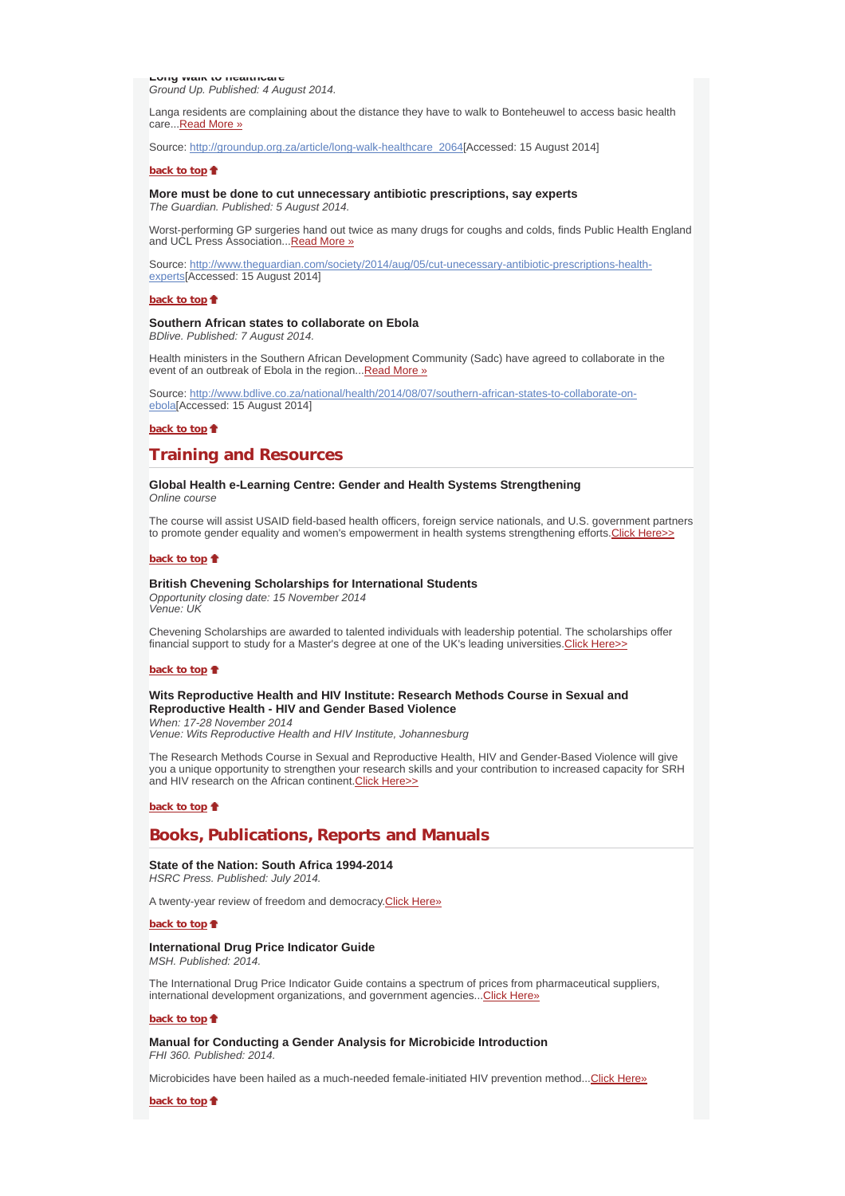**Long walk to healthcare** *Ground Up. Published: 4 August 2014.*

Langa residents are complaining about the distance they have to walk to Bonteheuwel to access basic health care...Read More »

Source: http://groundup.org.za/article/long-walk-healthcare\_2064[Accessed: 15 August 2014]

#### **back to top**

**More must be done to cut unnecessary antibiotic prescriptions, say experts** *The Guardian. Published: 5 August 2014.*

Worst-performing GP surgeries hand out twice as many drugs for coughs and colds, finds Public Health England and UCL Press Association... Read More »

Source: http://www.theguardian.com/society/2014/aug/05/cut-unecessary-antibiotic-prescriptions-healthexperts[Accessed: 15 August 2014]

## **back to top**

#### **Southern African states to collaborate on Ebola** *BDlive. Published: 7 August 2014.*

Health ministers in the Southern African Development Community (Sadc) have agreed to collaborate in the event of an outbreak of Ebola in the region...Read More »

Source: http://www.bdlive.co.za/national/health/2014/08/07/southern-african-states-to-collaborate-onebola[Accessed: 15 August 2014]

#### **back to top**

# **Training and Resources**

#### **Global Health e-Learning Centre: Gender and Health Systems Strengthening** *Online course*

The course will assist USAID field-based health officers, foreign service nationals, and U.S. government partners to promote gender equality and women's empowerment in health systems strengthening efforts. Click Here>>

#### back to top  $\triangle$

### **British Chevening Scholarships for International Students**

*Opportunity closing date: 15 November 2014 Venue: UK*

Chevening Scholarships are awarded to talented individuals with leadership potential. The scholarships offer financial support to study for a Master's degree at one of the UK's leading universities. Click Here>>

#### back to top  $\triangle$

# **Wits Reproductive Health and HIV Institute: Research Methods Course in Sexual and Reproductive Health - HIV and Gender Based Violence**

*When: 17-28 November 2014 Venue: Wits Reproductive Health and HIV Institute, Johannesburg*

The Research Methods Course in Sexual and Reproductive Health, HIV and Gender-Based Violence will give you a unique opportunity to strengthen your research skills and your contribution to increased capacity for SRH and HIV research on the African continent. Click Here>>

# **back to top**  $\triangle$

# **Books, Publications, Reports and Manuals**

# **State of the Nation: South Africa 1994-2014**

*HSRC Press. Published: July 2014.*

A twenty-year review of freedom and democracy.Click Here»

**back to top**

#### **International Drug Price Indicator Guide** *MSH. Published: 2014.*

The International Drug Price Indicator Guide contains a spectrum of prices from pharmaceutical suppliers, international development organizations, and government agencies... Click Here»

#### **back to top**

### **Manual for Conducting a Gender Analysis for Microbicide Introduction**

*FHI 360. Published: 2014.*

Microbicides have been hailed as a much-needed female-initiated HIV prevention method...Click Here»

**back to top**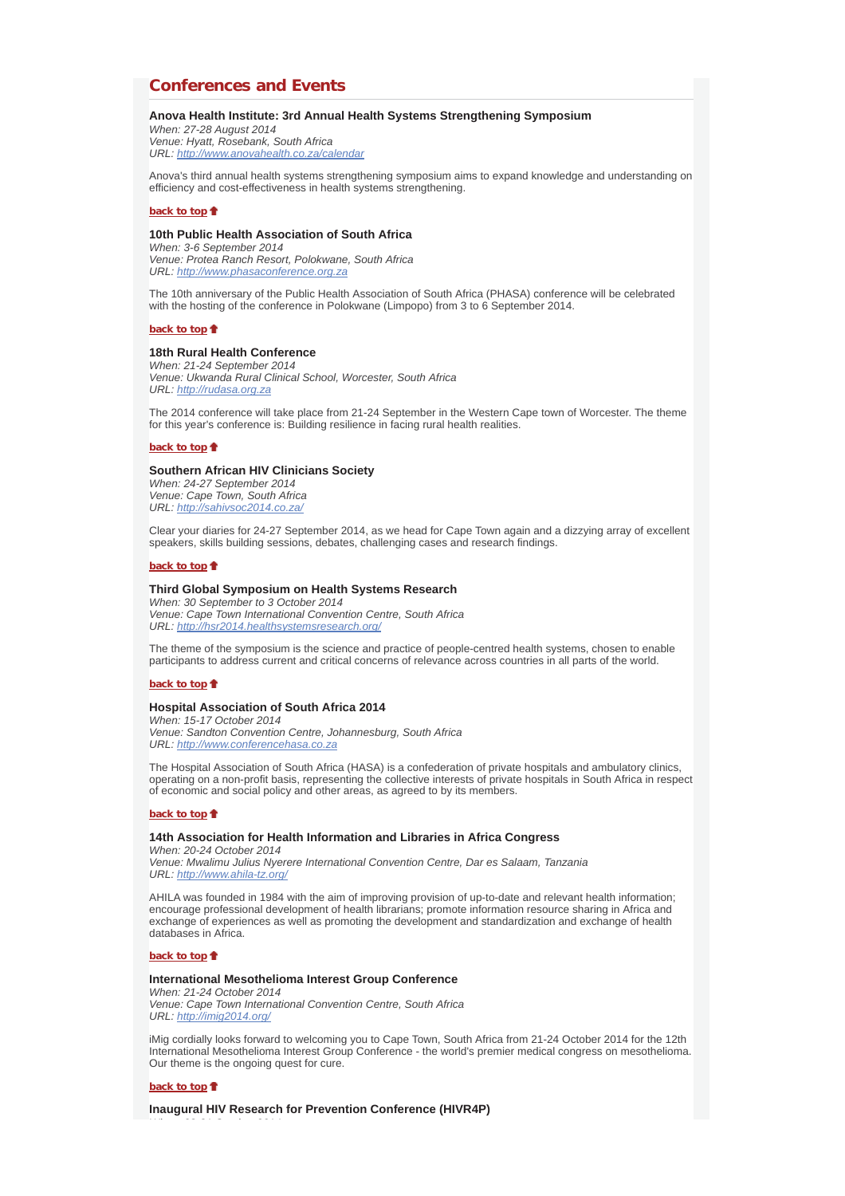# **Conferences and Events**

## **Anova Health Institute: 3rd Annual Health Systems Strengthening Symposium**

*When: 27-28 August 2014 Venue: Hyatt, Rosebank, South Africa URL: http://www.anovahealth.co.za/calendar*

Anova's third annual health systems strengthening symposium aims to expand knowledge and understanding on efficiency and cost-effectiveness in health systems strengthening.

## **back to top**

### **10th Public Health Association of South Africa**

*When: 3-6 September 2014 Venue: Protea Ranch Resort, Polokwane, South Africa URL: http://www.phasaconference.org.za*

The 10th anniversary of the Public Health Association of South Africa (PHASA) conference will be celebrated with the hosting of the conference in Polokwane (Limpopo) from 3 to 6 September 2014.

#### **back to top**

## **18th Rural Health Conference**

*When: 21-24 September 2014 Venue: Ukwanda Rural Clinical School, Worcester, South Africa URL: http://rudasa.org.za*

The 2014 conference will take place from 21-24 September in the Western Cape town of Worcester. The theme for this year's conference is: Building resilience in facing rural health realities.

### **back to top**

### **Southern African HIV Clinicians Society**

*When: 24-27 September 2014 Venue: Cape Town, South Africa URL: http://sahivsoc2014.co.za/*

Clear your diaries for 24-27 September 2014, as we head for Cape Town again and a dizzying array of excellent speakers, skills building sessions, debates, challenging cases and research findings.

## **back to top**

### **Third Global Symposium on Health Systems Research**

*When: 30 September to 3 October 2014 Venue: Cape Town International Convention Centre, South Africa URL: http://hsr2014.healthsystemsresearch.org/*

The theme of the symposium is the science and practice of people-centred health systems, chosen to enable participants to address current and critical concerns of relevance across countries in all parts of the world.

#### **back to top**

### **Hospital Association of South Africa 2014**

*When: 15-17 October 2014 Venue: Sandton Convention Centre, Johannesburg, South Africa URL: http://www.conferencehasa.co.za*

The Hospital Association of South Africa (HASA) is a confederation of private hospitals and ambulatory clinics, operating on a non-profit basis, representing the collective interests of private hospitals in South Africa in respect of economic and social policy and other areas, as agreed to by its members.

#### **back to top**

#### **14th Association for Health Information and Libraries in Africa Congress**

*When: 20-24 October 2014 Venue: Mwalimu Julius Nyerere International Convention Centre, Dar es Salaam, Tanzania URL: http://www.ahila-tz.org/*

AHILA was founded in 1984 with the aim of improving provision of up-to-date and relevant health information; encourage professional development of health librarians; promote information resource sharing in Africa and exchange of experiences as well as promoting the development and standardization and exchange of health databases in Africa.

#### **back to top**

### **International Mesothelioma Interest Group Conference**

*When: 21-24 October 2014 Venue: Cape Town International Convention Centre, South Africa URL: http://imig2014.org/*

iMig cordially looks forward to welcoming you to Cape Town, South Africa from 21-24 October 2014 for the 12th International Mesothelioma Interest Group Conference - the world's premier medical congress on mesothelioma. Our theme is the ongoing quest for cure.

#### **back to top**

*Wh 28 31 O t b 2014*

**Inaugural HIV Research for Prevention Conference (HIVR4P)**